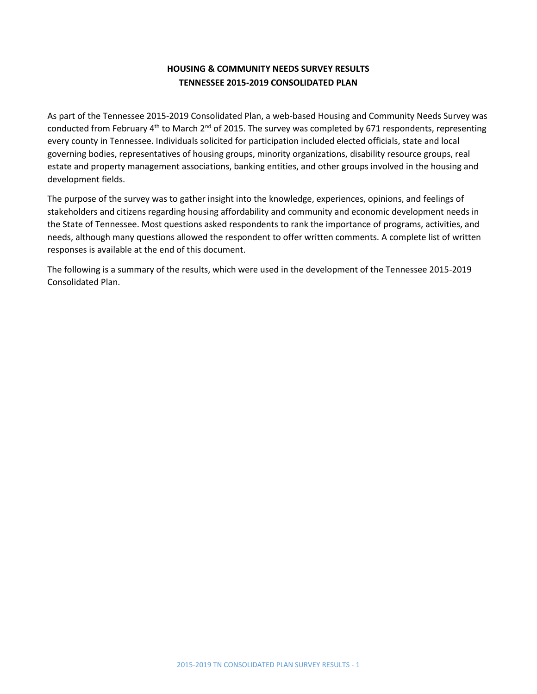# **HOUSING & COMMUNITY NEEDS SURVEY RESULTS TENNESSEE 2015-2019 CONSOLIDATED PLAN**

As part of the Tennessee 2015-2019 Consolidated Plan, a web-based Housing and Community Needs Survey was conducted from February 4<sup>th</sup> to March 2<sup>nd</sup> of 2015. The survey was completed by 671 respondents, representing every county in Tennessee. Individuals solicited for participation included elected officials, state and local governing bodies, representatives of housing groups, minority organizations, disability resource groups, real estate and property management associations, banking entities, and other groups involved in the housing and development fields.

The purpose of the survey was to gather insight into the knowledge, experiences, opinions, and feelings of stakeholders and citizens regarding housing affordability and community and economic development needs in the State of Tennessee. Most questions asked respondents to rank the importance of programs, activities, and needs, although many questions allowed the respondent to offer written comments. A complete list of written responses is available at the end of this document.

The following is a summary of the results, which were used in the development of the Tennessee 2015-2019 Consolidated Plan.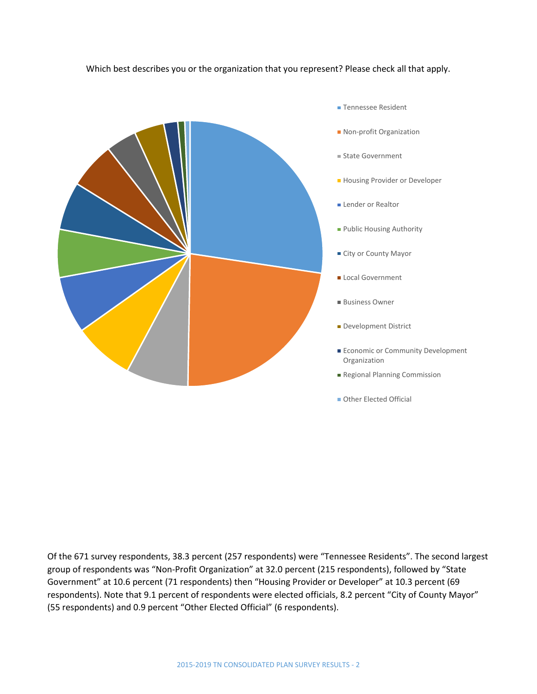### Which best describes you or the organization that you represent? Please check all that apply.



- **Tennessee Resident**
- **Non-profit Organization**
- State Government
- **Housing Provider or Developer**
- **Lender or Realtor**
- Public Housing Authority
- **City or County Mayor**
- **Local Government**
- Business Owner
- Development District
- **Economic or Community Development** Organization
- Regional Planning Commission
- **Other Elected Official**

Of the 671 survey respondents, 38.3 percent (257 respondents) were "Tennessee Residents". The second largest group of respondents was "Non-Profit Organization" at 32.0 percent (215 respondents), followed by "State Government" at 10.6 percent (71 respondents) then "Housing Provider or Developer" at 10.3 percent (69 respondents). Note that 9.1 percent of respondents were elected officials, 8.2 percent "City of County Mayor" (55 respondents) and 0.9 percent "Other Elected Official" (6 respondents).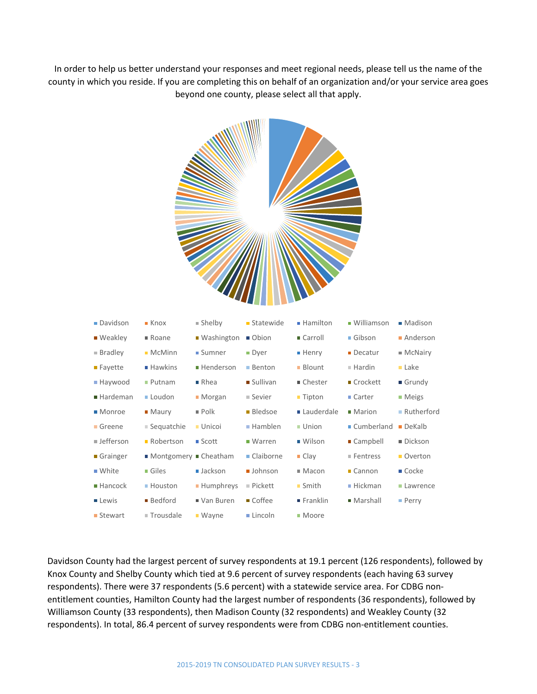In order to help us better understand your responses and meet regional needs, please tell us the name of the county in which you reside. If you are completing this on behalf of an organization and/or your service area goes beyond one county, please select all that apply.

**All All All Andrews** 

| Davidson         | $\blacksquare$ Knox | ■ Shelby             | Statewide       | ■ Hamilton          | · Williamson      | ■ Madison       |
|------------------|---------------------|----------------------|-----------------|---------------------|-------------------|-----------------|
| ■ Weakley        | ■ Roane             | ■ Washington ■ Obion |                 | ■ Carroll           | Gibson            | Anderson        |
| <b>Bradley</b>   | • McMinn            | <b>Sumner</b>        | <b>Dyer</b>     | ■ Henry             | • Decatur         | ■ McNairy       |
| ■ Fayette        | ■ Hawkins           | ■ Henderson          | ■ Benton        | <b>Blount</b>       | ■ Hardin          | Lake            |
| ■ Haywood        | ■ Putnam            | $\blacksquare$ Rhea  | <b>Sullivan</b> | ■ Chester           | ■ Crockett        | Grundy          |
| Hardeman         | Loudon              | ■ Morgan             | ■ Sevier        | ■ Tipton            | ■ Carter          | ■ Meigs         |
| ■ Monroe         | • Maury             | Polk                 | <b>Bledsoe</b>  | Lauderdale          | • Marion          | ■ Rutherford    |
| Greene           | ■ Sequatchie        | <b>Unicoi</b>        | ■ Hamblen       | Union               | Cumberland DeKalb |                 |
| <b>Jefferson</b> | • Robertson         | ■ Scott              | ■ Warren        | ■ Wilson            | ■ Campbell        | ■ Dickson       |
| Grainger         | Montgomery Cheatham |                      | ■ Claiborne     | $\blacksquare$ Clay | ■ Fentress        | <b>Overton</b>  |
| ■ White          | Giles               | ■ Jackson            | <b>Johnson</b>  | Macon               | Cannon            | ■ Cocke         |
| ■ Hancock        | ■ Houston           | ■ Humphreys          | ■ Pickett       | ■ Smith             | ■ Hickman         | <b>Lawrence</b> |
| <b>Lewis</b>     | ■ Bedford           | ■ Van Buren          | ■ Coffee        | ■ Franklin          | ■ Marshall        | ■ Perry         |
| ■ Stewart        | ■ Trousdale         | ■ Wayne              | Lincoln         | ■ Moore             |                   |                 |

Davidson County had the largest percent of survey respondents at 19.1 percent (126 respondents), followed by Knox County and Shelby County which tied at 9.6 percent of survey respondents (each having 63 survey respondents). There were 37 respondents (5.6 percent) with a statewide service area. For CDBG nonentitlement counties, Hamilton County had the largest number of respondents (36 respondents), followed by Williamson County (33 respondents), then Madison County (32 respondents) and Weakley County (32 respondents). In total, 86.4 percent of survey respondents were from CDBG non-entitlement counties.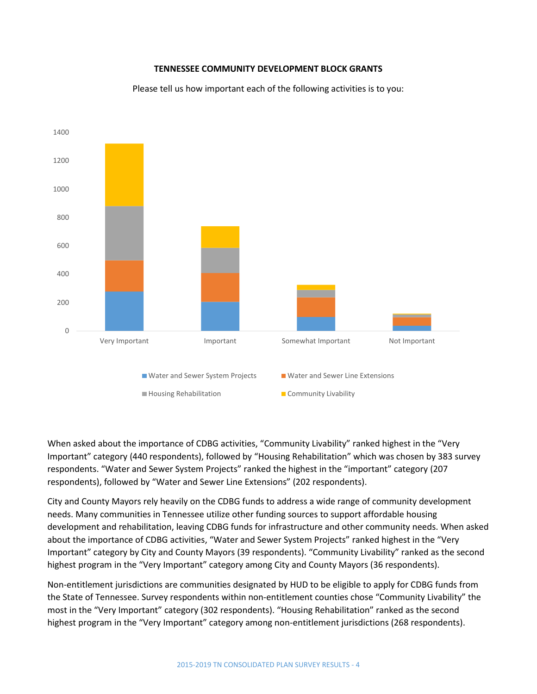### **TENNESSEE COMMUNITY DEVELOPMENT BLOCK GRANTS**



Please tell us how important each of the following activities is to you:

When asked about the importance of CDBG activities, "Community Livability" ranked highest in the "Very Important" category (440 respondents), followed by "Housing Rehabilitation" which was chosen by 383 survey respondents. "Water and Sewer System Projects" ranked the highest in the "important" category (207 respondents), followed by "Water and Sewer Line Extensions" (202 respondents).

City and County Mayors rely heavily on the CDBG funds to address a wide range of community development needs. Many communities in Tennessee utilize other funding sources to support affordable housing development and rehabilitation, leaving CDBG funds for infrastructure and other community needs. When asked about the importance of CDBG activities, "Water and Sewer System Projects" ranked highest in the "Very Important" category by City and County Mayors (39 respondents). "Community Livability" ranked as the second highest program in the "Very Important" category among City and County Mayors (36 respondents).

Non-entitlement jurisdictions are communities designated by HUD to be eligible to apply for CDBG funds from the State of Tennessee. Survey respondents within non-entitlement counties chose "Community Livability" the most in the "Very Important" category (302 respondents). "Housing Rehabilitation" ranked as the second highest program in the "Very Important" category among non-entitlement jurisdictions (268 respondents).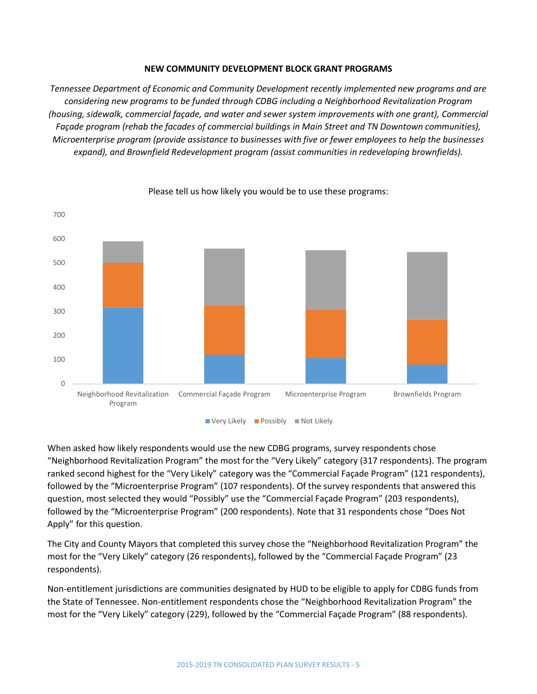### **NEW COMMUNITY DEVELOPMENT BLOCK GRANT PROGRAMS**

*Tennessee Department of Economic and Community Development recently implemented new programs and are considering new programs to be funded through CDBG including a Neighborhood Revitalization Program (housing, sidewalk, commercial façade, and water and sewer system improvements with one grant), Commercial Façade program (rehab the facades of commercial buildings in Main Street and TN Downtown communities), Microenterprise program (provide assistance to businesses with five or fewer employees to help the businesses expand), and Brownfield Redevelopment program (assist communities in redeveloping brownfields).*



### Please tell us how likely you would be to use these programs:

When asked how likely respondents would use the new CDBG programs, survey respondents chose "Neighborhood Revitalization Program" the most for the "Very Likely" category (317 respondents). The program ranked second highest for the "Very Likely" category was the "Commercial Façade Program" (121 respondents), followed by the "Microenterprise Program" (107 respondents). Of the survey respondents that answered this question, most selected they would "Possibly" use the "Commercial Façade Program" (203 respondents), followed by the "Microenterprise Program" (200 respondents). Note that 31 respondents chose "Does Not Apply" for this question.

The City and County Mayors that completed this survey chose the "Neighborhood Revitalization Program" the most for the "Very Likely" category (26 respondents), followed by the "Commercial Façade Program" (23 respondents).

Non-entitlement jurisdictions are communities designated by HUD to be eligible to apply for CDBG funds from the State of Tennessee. Non-entitlement respondents chose the "Neighborhood Revitalization Program" the most for the "Very Likely" category (229), followed by the "Commercial Façade Program" (88 respondents).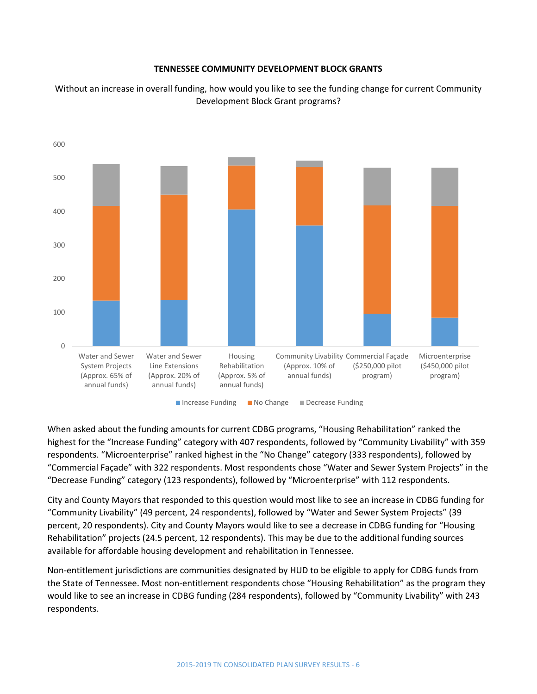### **TENNESSEE COMMUNITY DEVELOPMENT BLOCK GRANTS**

Without an increase in overall funding, how would you like to see the funding change for current Community Development Block Grant programs?



When asked about the funding amounts for current CDBG programs, "Housing Rehabilitation" ranked the highest for the "Increase Funding" category with 407 respondents, followed by "Community Livability" with 359 respondents. "Microenterprise" ranked highest in the "No Change" category (333 respondents), followed by "Commercial Façade" with 322 respondents. Most respondents chose "Water and Sewer System Projects" in the "Decrease Funding" category (123 respondents), followed by "Microenterprise" with 112 respondents.

City and County Mayors that responded to this question would most like to see an increase in CDBG funding for "Community Livability" (49 percent, 24 respondents), followed by "Water and Sewer System Projects" (39 percent, 20 respondents). City and County Mayors would like to see a decrease in CDBG funding for "Housing Rehabilitation" projects (24.5 percent, 12 respondents). This may be due to the additional funding sources available for affordable housing development and rehabilitation in Tennessee.

Non-entitlement jurisdictions are communities designated by HUD to be eligible to apply for CDBG funds from the State of Tennessee. Most non-entitlement respondents chose "Housing Rehabilitation" as the program they would like to see an increase in CDBG funding (284 respondents), followed by "Community Livability" with 243 respondents.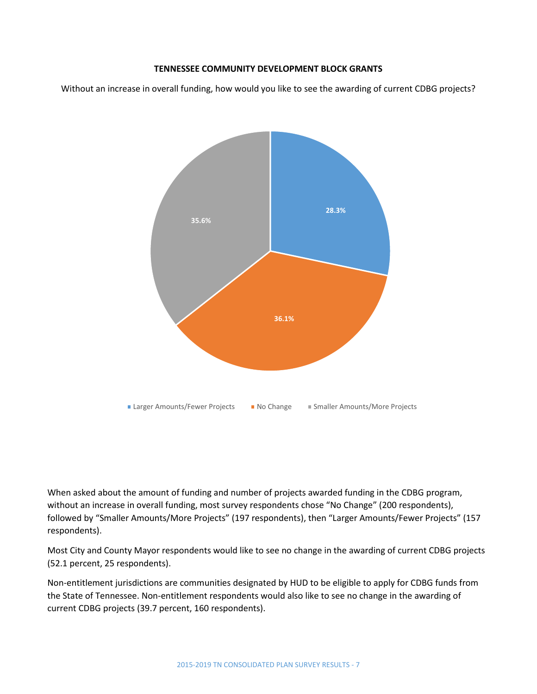## **TENNESSEE COMMUNITY DEVELOPMENT BLOCK GRANTS**

Without an increase in overall funding, how would you like to see the awarding of current CDBG projects?



When asked about the amount of funding and number of projects awarded funding in the CDBG program, without an increase in overall funding, most survey respondents chose "No Change" (200 respondents), followed by "Smaller Amounts/More Projects" (197 respondents), then "Larger Amounts/Fewer Projects" (157 respondents).

Most City and County Mayor respondents would like to see no change in the awarding of current CDBG projects (52.1 percent, 25 respondents).

Non-entitlement jurisdictions are communities designated by HUD to be eligible to apply for CDBG funds from the State of Tennessee. Non-entitlement respondents would also like to see no change in the awarding of current CDBG projects (39.7 percent, 160 respondents).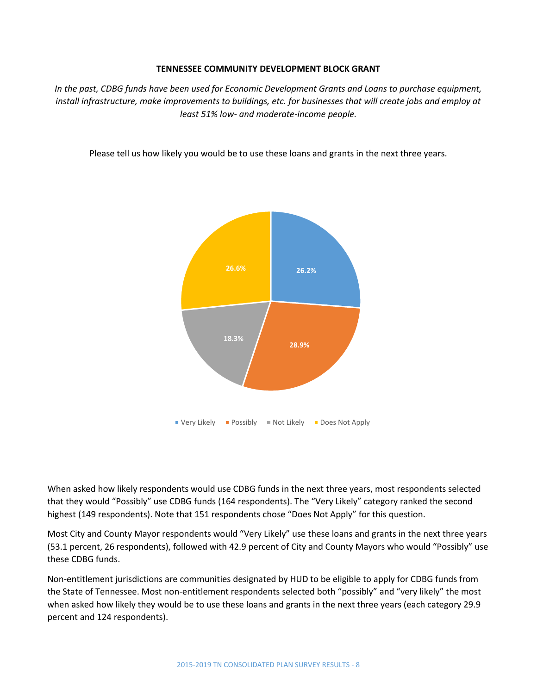### **TENNESSEE COMMUNITY DEVELOPMENT BLOCK GRANT**

*In the past, CDBG funds have been used for Economic Development Grants and Loans to purchase equipment, install infrastructure, make improvements to buildings, etc. for businesses that will create jobs and employ at least 51% low- and moderate-income people.*

Please tell us how likely you would be to use these loans and grants in the next three years.



When asked how likely respondents would use CDBG funds in the next three years, most respondents selected that they would "Possibly" use CDBG funds (164 respondents). The "Very Likely" category ranked the second highest (149 respondents). Note that 151 respondents chose "Does Not Apply" for this question.

Most City and County Mayor respondents would "Very Likely" use these loans and grants in the next three years (53.1 percent, 26 respondents), followed with 42.9 percent of City and County Mayors who would "Possibly" use these CDBG funds.

Non-entitlement jurisdictions are communities designated by HUD to be eligible to apply for CDBG funds from the State of Tennessee. Most non-entitlement respondents selected both "possibly" and "very likely" the most when asked how likely they would be to use these loans and grants in the next three years (each category 29.9 percent and 124 respondents).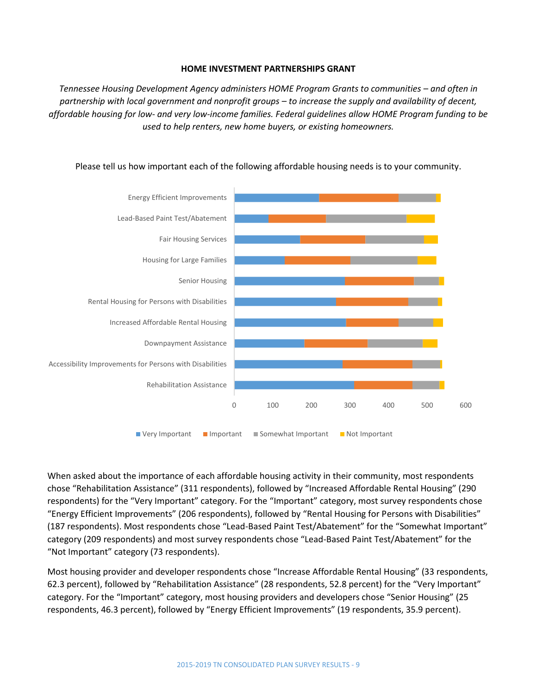#### **HOME INVESTMENT PARTNERSHIPS GRANT**

*Tennessee Housing Development Agency administers HOME Program Grants to communities – and often in partnership with local government and nonprofit groups – to increase the supply and availability of decent, affordable housing for low- and very low-income families. Federal guidelines allow HOME Program funding to be used to help renters, new home buyers, or existing homeowners.*



Please tell us how important each of the following affordable housing needs is to your community.

When asked about the importance of each affordable housing activity in their community, most respondents chose "Rehabilitation Assistance" (311 respondents), followed by "Increased Affordable Rental Housing" (290 respondents) for the "Very Important" category. For the "Important" category, most survey respondents chose "Energy Efficient Improvements" (206 respondents), followed by "Rental Housing for Persons with Disabilities" (187 respondents). Most respondents chose "Lead-Based Paint Test/Abatement" for the "Somewhat Important" category (209 respondents) and most survey respondents chose "Lead-Based Paint Test/Abatement" for the "Not Important" category (73 respondents).

Most housing provider and developer respondents chose "Increase Affordable Rental Housing" (33 respondents, 62.3 percent), followed by "Rehabilitation Assistance" (28 respondents, 52.8 percent) for the "Very Important" category. For the "Important" category, most housing providers and developers chose "Senior Housing" (25 respondents, 46.3 percent), followed by "Energy Efficient Improvements" (19 respondents, 35.9 percent).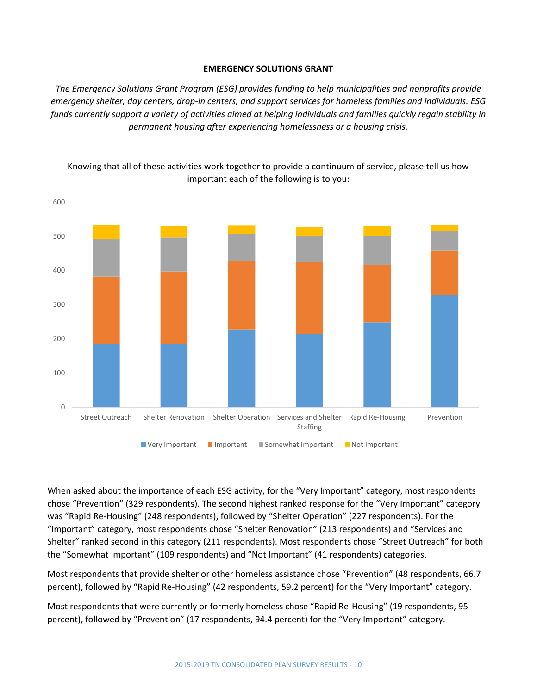#### **EMERGENCY SOLUTIONS GRANT**

*The Emergency Solutions Grant Program (ESG) provides funding to help municipalities and nonprofits provide emergency shelter, day centers, drop-in centers, and support services for homeless families and individuals. ESG funds currently support a variety of activities aimed at helping individuals and families quickly regain stability in permanent housing after experiencing homelessness or a housing crisis.*



Knowing that all of these activities work together to provide a continuum of service, please tell us how important each of the following is to you:

When asked about the importance of each ESG activity, for the "Very Important" category, most respondents chose "Prevention" (329 respondents). The second highest ranked response for the "Very Important" category was "Rapid Re-Housing" (248 respondents), followed by "Shelter Operation" (227 respondents). For the "Important" category, most respondents chose "Shelter Renovation" (213 respondents) and "Services and Shelter" ranked second in this category (211 respondents). Most respondents chose "Street Outreach" for both the "Somewhat Important" (109 respondents) and "Not Important" (41 respondents) categories.

Most respondents that provide shelter or other homeless assistance chose "Prevention" (48 respondents, 66.7 percent), followed by "Rapid Re-Housing" (42 respondents, 59.2 percent) for the "Very Important" category.

Most respondents that were currently or formerly homeless chose "Rapid Re-Housing" (19 respondents, 95 percent), followed by "Prevention" (17 respondents, 94.4 percent) for the "Very Important" category.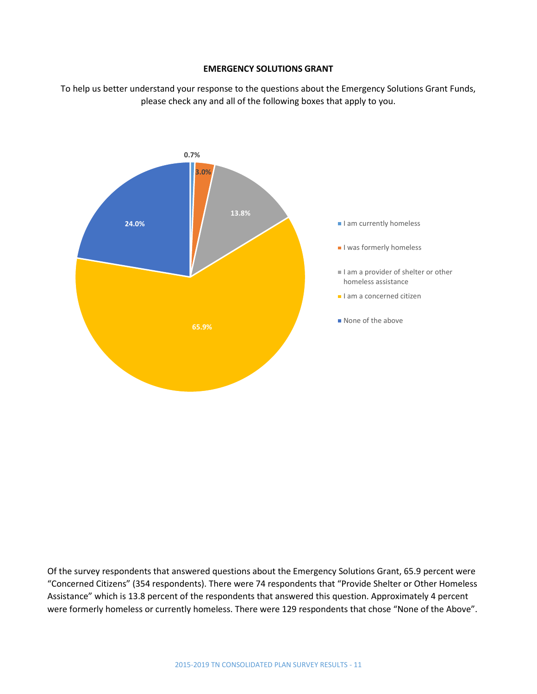### **EMERGENCY SOLUTIONS GRANT**

To help us better understand your response to the questions about the Emergency Solutions Grant Funds, please check any and all of the following boxes that apply to you.



Of the survey respondents that answered questions about the Emergency Solutions Grant, 65.9 percent were "Concerned Citizens" (354 respondents). There were 74 respondents that "Provide Shelter or Other Homeless Assistance" which is 13.8 percent of the respondents that answered this question. Approximately 4 percent were formerly homeless or currently homeless. There were 129 respondents that chose "None of the Above".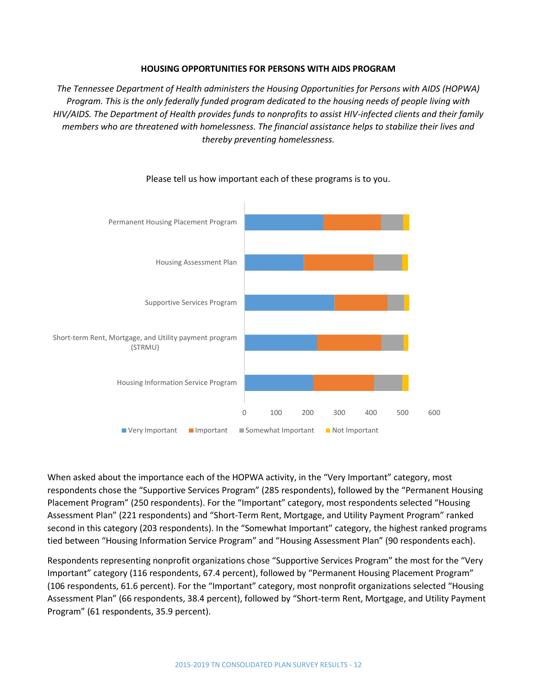#### **HOUSING OPPORTUNITIES FOR PERSONS WITH AIDS PROGRAM**

*The Tennessee Department of Health administers the Housing Opportunities for Persons with AIDS (HOPWA) Program. This is the only federally funded program dedicated to the housing needs of people living with HIV/AIDS. The Department of Health provides funds to nonprofits to assist HIV-infected clients and their family members who are threatened with homelessness. The financial assistance helps to stabilize their lives and thereby preventing homelessness.*



Please tell us how important each of these programs is to you.

When asked about the importance each of the HOPWA activity, in the "Very Important" category, most respondents chose the "Supportive Services Program" (285 respondents), followed by the "Permanent Housing Placement Program" (250 respondents). For the "Important" category, most respondents selected "Housing Assessment Plan" (221 respondents) and "Short-Term Rent, Mortgage, and Utility Payment Program" ranked second in this category (203 respondents). In the "Somewhat Important" category, the highest ranked programs tied between "Housing Information Service Program" and "Housing Assessment Plan" (90 respondents each).

Respondents representing nonprofit organizations chose "Supportive Services Program" the most for the "Very Important" category (116 respondents, 67.4 percent), followed by "Permanent Housing Placement Program" (106 respondents, 61.6 percent). For the "Important" category, most nonprofit organizations selected "Housing Assessment Plan" (66 respondents, 38.4 percent), followed by "Short-term Rent, Mortgage, and Utility Payment Program" (61 respondents, 35.9 percent).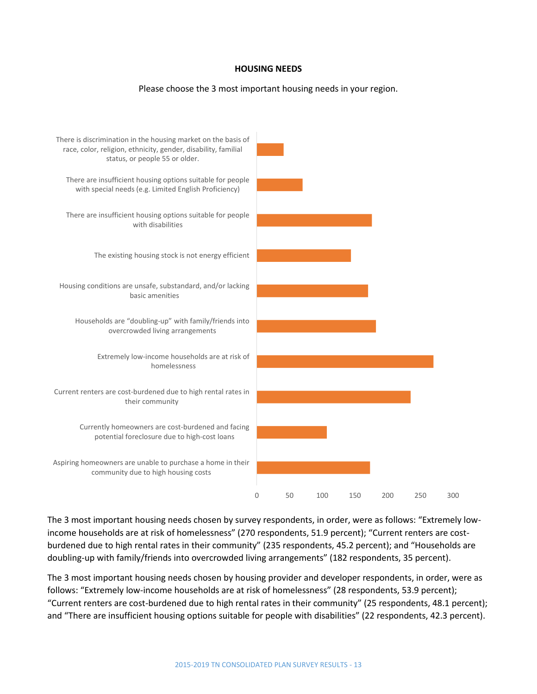#### **HOUSING NEEDS**

#### Please choose the 3 most important housing needs in your region.



The 3 most important housing needs chosen by survey respondents, in order, were as follows: "Extremely lowincome households are at risk of homelessness" (270 respondents, 51.9 percent); "Current renters are costburdened due to high rental rates in their community" (235 respondents, 45.2 percent); and "Households are doubling-up with family/friends into overcrowded living arrangements" (182 respondents, 35 percent).

The 3 most important housing needs chosen by housing provider and developer respondents, in order, were as follows: "Extremely low-income households are at risk of homelessness" (28 respondents, 53.9 percent); "Current renters are cost-burdened due to high rental rates in their community" (25 respondents, 48.1 percent); and "There are insufficient housing options suitable for people with disabilities" (22 respondents, 42.3 percent).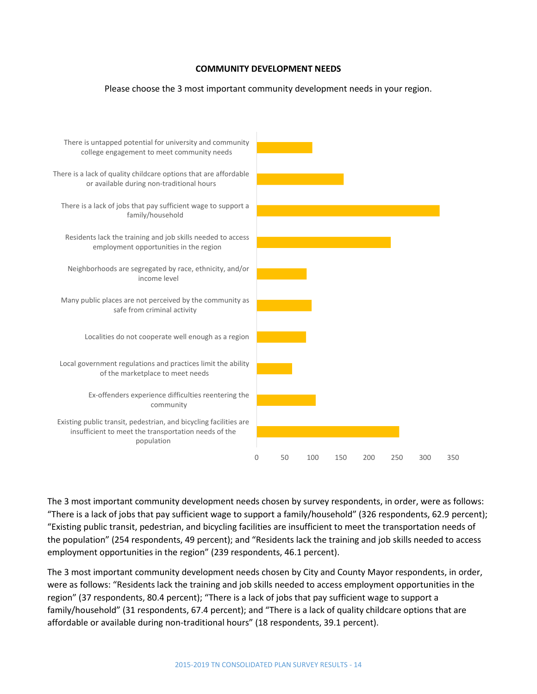## **COMMUNITY DEVELOPMENT NEEDS**

### Please choose the 3 most important community development needs in your region.



The 3 most important community development needs chosen by survey respondents, in order, were as follows: "There is a lack of jobs that pay sufficient wage to support a family/household" (326 respondents, 62.9 percent); "Existing public transit, pedestrian, and bicycling facilities are insufficient to meet the transportation needs of the population" (254 respondents, 49 percent); and "Residents lack the training and job skills needed to access employment opportunities in the region" (239 respondents, 46.1 percent).

The 3 most important community development needs chosen by City and County Mayor respondents, in order, were as follows: "Residents lack the training and job skills needed to access employment opportunities in the region" (37 respondents, 80.4 percent); "There is a lack of jobs that pay sufficient wage to support a family/household" (31 respondents, 67.4 percent); and "There is a lack of quality childcare options that are affordable or available during non-traditional hours" (18 respondents, 39.1 percent).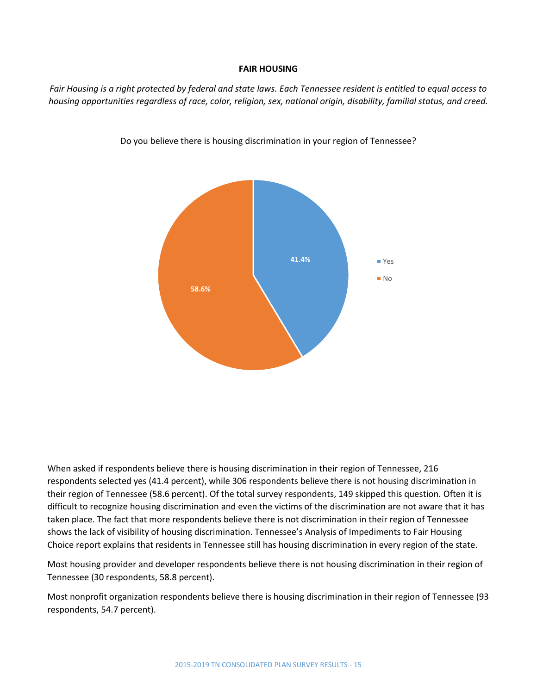#### **FAIR HOUSING**

*Fair Housing is a right protected by federal and state laws. Each Tennessee resident is entitled to equal access to housing opportunities regardless of race, color, religion, sex, national origin, disability, familial status, and creed.*



Do you believe there is housing discrimination in your region of Tennessee?

When asked if respondents believe there is housing discrimination in their region of Tennessee, 216 respondents selected yes (41.4 percent), while 306 respondents believe there is not housing discrimination in their region of Tennessee (58.6 percent). Of the total survey respondents, 149 skipped this question. Often it is difficult to recognize housing discrimination and even the victims of the discrimination are not aware that it has taken place. The fact that more respondents believe there is not discrimination in their region of Tennessee shows the lack of visibility of housing discrimination. Tennessee's Analysis of Impediments to Fair Housing Choice report explains that residents in Tennessee still has housing discrimination in every region of the state.

Most housing provider and developer respondents believe there is not housing discrimination in their region of Tennessee (30 respondents, 58.8 percent).

Most nonprofit organization respondents believe there is housing discrimination in their region of Tennessee (93 respondents, 54.7 percent).